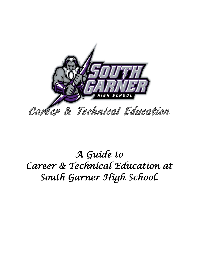

*A Guide to Career & Technical Education at South Garner High School.*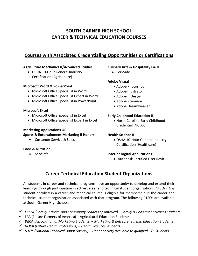### **SOUTH GARNER HIGH SCHOOL CAREER & TECHNICAL EDUCATION COURSES**

### **Courses with Associated Credentialing Opportunities or Certifications**

#### **Agriculture Mechanics II/Advanced Studies**

• OSHA 10-Hour General Industry Certification (Agriculture)

#### **Microsoft Word & PowerPoint**

- Microsoft Office Specialist in Word
- Microsoft Office Specialist Expert in Word
- Microsoft Office Specialist in PowerPoint

### **Microsoft Excel**

- Microsoft Office Specialist in Excel
- Microsoft Office Specialist Expert in Excel

### **Marketing Applications OR Sports & Entertainment Marketing II Honors**

• Customer Service & Sales

#### **Food & Nutrition II**

• ServSafe

### **Culinary Arts & Hospitality I & II**

• ServSafe

### **Adobe Visual**

- Adobe Photoshop
- Adobe Illustrator
- Adobe InDesign
- Adobe Premiere
- Adobe Dreamweaver

#### **Early Childhood Education II**

• North Carolina Early Childhood Credential (NCECC)

#### **Health Science II**

• OSHA 10-Hour General Industry Certification (Healthcare)

#### **Interior Digital Applications**

• Autodesk Certified User Revit

### **Career Technical Education Student Organizations**

All students in career and technical programs have an opportunity to develop and extend their learnings through participation in active career and technical student organizations (CTSOs). Any student enrolled in a career and technical course is eligible for membership in the career and technical student organization associated with that program. The following CTSOs are available at South Garner High School.

- ✓ *FCCLA (Family, Career, and Community Leaders of America) – Family & Consumer Sciences Students*
- ✓ **FFA** (Future Farmers of America) Agricultural Education Students
- ✓ *DECA (Association of Marketing Students) – Marketing & Entrepreneurship Education Students*
- ✓ *HOSA (Future Health Professions) – Health Sciences Students*
- ✓ *NTHS (National Technical Honor Society) – Honor Society available to qualified CTE Students*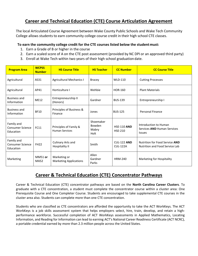### **Career and Technical Education (CTE) Course Articulation Agreement**

The local Articulated Course Agreement between Wake County Public Schools and Wake Tech Community College allows students to earn community college course credit in their high school CTE classes.

### **To earn the community college credit for the CTE courses listed below the student must:**

- 1. Earn a Grade of B or higher in the course
- 2. Earn a scaled score of A on the CTE post assessment (provided by NC DPI or an approved third party)
- 3. Enroll at Wake Tech within two years of their high school graduation date.

| <b>Program Area</b>                                | <b>WCPSS</b><br><b>Number</b> | <b>HS Course Title</b>                          | <b>HS Teacher</b>                    | <b>CC Number</b>                      | <b>CC Course Title</b>                                                |
|----------------------------------------------------|-------------------------------|-------------------------------------------------|--------------------------------------|---------------------------------------|-----------------------------------------------------------------------|
| Agricultural                                       | AS31                          | <b>Agricultural Mechanics I</b>                 | <b>Bracey</b>                        | <b>WLD-110</b>                        | <b>Cutting Processes</b>                                              |
| Agricultural                                       | AP41                          | Horticulture I                                  | Wehbie                               | HOR-160                               | <b>Plant Materials</b>                                                |
| <b>Business and</b><br>Information                 | <b>ME12</b>                   | Entrepreneurship II<br>(Honors)                 | Gardner                              | <b>BUS-139</b>                        | Entrepreneurship I                                                    |
| <b>Business and</b><br>Information                 | <b>BF10</b>                   | Principles of Business &<br>Finance             | Jones                                | <b>BUS-125</b>                        | Personal Finance                                                      |
| Family and<br><b>Consumer Science</b><br>Education | FC11                          | Principles of Family &<br><b>Human Services</b> | Shoemaker<br>Bowden<br>Mabry<br>Holt | <b>HSE-110 AND</b><br><b>HSE-210</b>  | Introduction to Human<br>Services AND Human Services<br><b>Issues</b> |
| Family and<br><b>Consumer Science</b><br>Education | <b>FH22</b>                   | Culinary Arts and<br>Hospitality II             | Smith                                | <b>CUL-122 AND</b><br><b>CUL-122A</b> | Nutrition for Food Service AND<br>Nutrition and Food Service Lab      |
| Marketing                                          | <b>MM51 or</b><br><b>MA52</b> | Marketing or<br><b>Marketing Applications</b>   | Allen<br>Gardner<br>Parks            | <b>HRM-240</b>                        | Marketing for Hospitality                                             |

### **Career & Technical Education (CTE) Concentrator Pathways**

Career & Technical Education (CTE) concentrator pathways are based on the **North Carolina Career Clusters**. To graduate with a CTE concentration, a student must complete the concentrator course within a cluster area: One Prerequisite Course and One Completer Course. Students are encouraged to take supplemental CTE courses in the cluster area also. Students can complete more than one CTE concentration.

Students who are classified as CTE concentrators are afforded the opportunity to take the ACT WorkKeys. The ACT WorkKeys is a job skills assessment system that helps employers select, hire, train, develop, and retain a highperformance workforce. Successful completion of ACT WorkKeys assessments in Applied Mathematics, Locating Information, and Reading for Information can lead to earning ACT's National Career Readiness Certificate (ACT NCRC), a portable credential earned by more than 2.3 million people across the United States.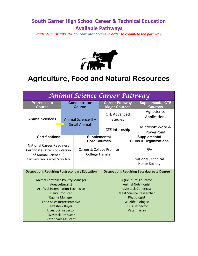### **South Garner High School Career & Technical Education Available Pathways**

*Students must take the Concentrator Course in order to complete the pathway.*



### **Agriculture, Food and Natural Resources**

|                                                                                                                                                                                                                                                                                              |                       | Animal Science Career Pathway                       |                                                   |                                                                 |                                                                                                                                                                                                                   |
|----------------------------------------------------------------------------------------------------------------------------------------------------------------------------------------------------------------------------------------------------------------------------------------------|-----------------------|-----------------------------------------------------|---------------------------------------------------|-----------------------------------------------------------------|-------------------------------------------------------------------------------------------------------------------------------------------------------------------------------------------------------------------|
| <b>Prerequisite</b><br><b>Course</b>                                                                                                                                                                                                                                                         |                       | <b>Concentrator</b><br><b>Course</b>                | <b>Career Pathway</b><br><b>Major Courses</b>     |                                                                 | <b>Supplemental CTE</b><br><b>Courses</b>                                                                                                                                                                         |
| <b>Animal Science I</b>                                                                                                                                                                                                                                                                      |                       | Animal Science II-                                  | <b>CTE Advanced</b><br><b>Studies</b>             |                                                                 | Agriscience<br>Applications                                                                                                                                                                                       |
|                                                                                                                                                                                                                                                                                              |                       | <b>Small Animal</b>                                 | <b>CTE Internship</b>                             |                                                                 | Microsoft Word &<br>PowerPoint                                                                                                                                                                                    |
|                                                                                                                                                                                                                                                                                              | <b>Certifications</b> |                                                     | Supplemental<br><b>Core Courses</b>               |                                                                 | Supplemental<br><b>Clubs &amp; Organizations</b>                                                                                                                                                                  |
| <b>National Career Readiness</b><br>Certificate (after completion<br>of Animal Science II)<br>Assessment taken during Senior Year                                                                                                                                                            |                       | Career & College Promise<br><b>College Transfer</b> |                                                   | <b>FFA</b><br><b>National Technical</b><br><b>Honor Society</b> |                                                                                                                                                                                                                   |
| <b>Occupations Requiring Postsecondary Education</b>                                                                                                                                                                                                                                         |                       |                                                     | <b>Occupations Requiring Baccalaureate Degree</b> |                                                                 |                                                                                                                                                                                                                   |
| Animal Caretaker-Poultry Manager<br>Aquaculturalist<br><b>Artificial Insemination Technician</b><br><b>Dairy Producer</b><br><b>Equine Manager</b><br><b>Feed Sales Representative</b><br>Livestock Buyer<br>Livestock Inspector<br><b>Livestock Producer</b><br><b>Veterinary Assistant</b> |                       |                                                     |                                                   |                                                                 | <b>Agricultural Educator</b><br><b>Animal Nutritionist</b><br><b>Livestock Geneticist</b><br><b>Meat Science Researcher</b><br>Physiologist<br><b>Wildlife Biologist</b><br><b>USDA Inspector</b><br>Veterinarian |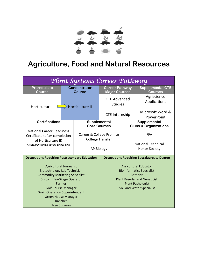

### **Agriculture, Food and Natural Resources**

|                                                                                                                                                                                                                                                                                               |                        | Plant Systems Career Pathway                        |                                               |                                                   |                                                                                                                                                                                            |
|-----------------------------------------------------------------------------------------------------------------------------------------------------------------------------------------------------------------------------------------------------------------------------------------------|------------------------|-----------------------------------------------------|-----------------------------------------------|---------------------------------------------------|--------------------------------------------------------------------------------------------------------------------------------------------------------------------------------------------|
| Prerequisite<br><b>Course</b>                                                                                                                                                                                                                                                                 |                        | <b>Concentrator</b><br><b>Course</b>                | <b>Career Pathway</b><br><b>Major Courses</b> |                                                   | <b>Supplemental CTE</b><br><b>Courses</b>                                                                                                                                                  |
| Horticulture I                                                                                                                                                                                                                                                                                | <b>Horticulture II</b> |                                                     | <b>CTE Advanced</b><br><b>Studies</b>         |                                                   | Agriscience<br>Applications                                                                                                                                                                |
|                                                                                                                                                                                                                                                                                               |                        |                                                     | <b>CTE</b> Internship                         |                                                   | Microsoft Word &<br>PowerPoint                                                                                                                                                             |
| <b>Certifications</b>                                                                                                                                                                                                                                                                         |                        | Supplemental<br><b>Core Courses</b>                 |                                               | Supplemental<br><b>Clubs &amp; Organizations</b>  |                                                                                                                                                                                            |
| <b>National Career Readiness</b><br>Certificate (after completion<br>of Horticulture II)<br>Assessment taken during Senior Year                                                                                                                                                               |                        | Career & College Promise<br><b>College Transfer</b> |                                               | <b>FFA</b>                                        |                                                                                                                                                                                            |
|                                                                                                                                                                                                                                                                                               |                        | <b>AP Biology</b>                                   |                                               | <b>National Technical</b><br><b>Honor Society</b> |                                                                                                                                                                                            |
| <b>Occupations Requiring Postsecondary Education</b>                                                                                                                                                                                                                                          |                        |                                                     |                                               |                                                   | <b>Occupations Requiring Baccalaureate Degree</b>                                                                                                                                          |
| <b>Agricultural Journalist</b><br>Biotechnology Lab Technician<br><b>Commodity Marketing Specialist</b><br><b>Custom Hay/Silage Operator</b><br>Farmer<br><b>Golf Course Manager</b><br><b>Grain Operation Superintendent</b><br><b>Green House Manager</b><br>Rancher<br><b>Tree Surgeon</b> |                        |                                                     |                                               |                                                   | <b>Agricultural Educator</b><br><b>Bioinformatics Specialist</b><br><b>Botanist</b><br><b>Plant Breeder and Geneticist</b><br><b>Plant Pathologist</b><br><b>Soil and Water Specialist</b> |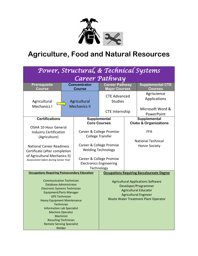

## **Agriculture, Food and Natural Resources**

| Power, Structural, & Technical Systems                                                                                                                                                                                                                                                                                                                                                                                                           |  |                                      |                                                                                                                                                                                          |  |                                                                                                                                                                                                                                       |  |  |  |
|--------------------------------------------------------------------------------------------------------------------------------------------------------------------------------------------------------------------------------------------------------------------------------------------------------------------------------------------------------------------------------------------------------------------------------------------------|--|--------------------------------------|------------------------------------------------------------------------------------------------------------------------------------------------------------------------------------------|--|---------------------------------------------------------------------------------------------------------------------------------------------------------------------------------------------------------------------------------------|--|--|--|
| Career Pathway                                                                                                                                                                                                                                                                                                                                                                                                                                   |  |                                      |                                                                                                                                                                                          |  |                                                                                                                                                                                                                                       |  |  |  |
| <b>Prerequisite</b><br><b>Course</b>                                                                                                                                                                                                                                                                                                                                                                                                             |  | <b>Concentrator</b><br><b>Course</b> | <b>Career Pathway</b><br><b>Major Courses</b>                                                                                                                                            |  | <b>Supplemental CTE</b><br><b>Courses</b>                                                                                                                                                                                             |  |  |  |
| Agricultural<br>Mechanics I                                                                                                                                                                                                                                                                                                                                                                                                                      |  | Agricultural<br><b>Mechanics II</b>  | <b>CTE Advanced</b><br><b>Studies</b>                                                                                                                                                    |  | Agriscience<br>Applications                                                                                                                                                                                                           |  |  |  |
|                                                                                                                                                                                                                                                                                                                                                                                                                                                  |  |                                      | <b>CTE Internship</b>                                                                                                                                                                    |  | Microsoft Word &<br>PowerPoint                                                                                                                                                                                                        |  |  |  |
| <b>Certifications</b>                                                                                                                                                                                                                                                                                                                                                                                                                            |  |                                      | Supplemental<br><b>Core Courses</b>                                                                                                                                                      |  | Supplemental<br><b>Clubs &amp; Organizations</b>                                                                                                                                                                                      |  |  |  |
| <b>OSHA 10-Hour General</b><br><b>Industry Certification</b><br>(Agriculture)<br><b>National Career Readiness</b><br>Certificate (after completion<br>of Agricultural Mechanics II)<br>Assessment taken during Senior Year                                                                                                                                                                                                                       |  |                                      | Career & College Promise<br><b>College Transfer</b><br>Career & College Promise<br><b>Welding Technology</b><br>Career & College Promise<br><b>Electronics Engineering</b><br>Technology |  | <b>FFA</b><br><b>National Technical</b><br><b>Honor Society</b>                                                                                                                                                                       |  |  |  |
| <b>Occupations Requiring Postsecondary Education</b><br><b>Communication Technician</b><br><b>Database Administrator</b><br><b>Electronic Systems Technician</b><br><b>Equipment/Parts Manager</b><br><b>GPS Technician</b><br><b>Heavy Equipment Maintenance</b><br>Technician<br><b>Information Lab Specialist</b><br><b>Machine Operator</b><br><b>Machinist</b><br><b>Recycling Technician</b><br><b>Remote Sensing Specialist</b><br>Welder |  |                                      |                                                                                                                                                                                          |  | <b>Occupations Requiring Baccalaureate Degree</b><br><b>Agricultural Applications Software</b><br>Developer/Programmer<br><b>Agricultural Educator</b><br><b>Agricultural Engineer</b><br><b>Waste Water Treatment Plant Operator</b> |  |  |  |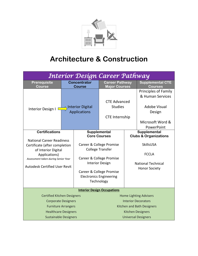

## **Architecture & Construction**

| Interior Design Career Pathway                                                                                                                                                                                    |                                         |                                      |                                                                                                                                                                                                                              |  |                                                                                                                                           |  |  |  |
|-------------------------------------------------------------------------------------------------------------------------------------------------------------------------------------------------------------------|-----------------------------------------|--------------------------------------|------------------------------------------------------------------------------------------------------------------------------------------------------------------------------------------------------------------------------|--|-------------------------------------------------------------------------------------------------------------------------------------------|--|--|--|
| Prerequisite<br><b>Course</b>                                                                                                                                                                                     |                                         | <b>Concentrator</b><br><b>Course</b> | <b>Career Pathway</b><br><b>Major Courses</b>                                                                                                                                                                                |  | <b>Supplemental CTE</b><br><b>Courses</b>                                                                                                 |  |  |  |
| Interior Design I                                                                                                                                                                                                 | Interior Digital<br><b>Applications</b> |                                      | <b>CTE Advanced</b><br><b>Studies</b><br><b>CTE Internship</b>                                                                                                                                                               |  | <b>Principles of Family</b><br>& Human Services<br><b>Adobe Visual</b><br>Design<br>Microsoft Word &                                      |  |  |  |
|                                                                                                                                                                                                                   |                                         |                                      |                                                                                                                                                                                                                              |  | PowerPoint                                                                                                                                |  |  |  |
| <b>Certifications</b><br><b>National Career Readiness</b><br>Certificate (after completion<br>of Interior Digital<br>Applications)<br>Assessment taken during Senior Year<br><b>Autodesk Certified User Revit</b> |                                         |                                      | Supplemental<br><b>Core Courses</b><br>Career & College Promise<br><b>College Transfer</b><br>Career & College Promise<br><b>Interior Design</b><br>Career & College Promise<br><b>Electronics Engineering</b><br>Technology |  | Supplemental<br><b>Clubs &amp; Organizations</b><br><b>SkillsUSA</b><br><b>FCCLA</b><br><b>National Technical</b><br><b>Honor Society</b> |  |  |  |
|                                                                                                                                                                                                                   |                                         |                                      | <b>Interior Design Occupations</b>                                                                                                                                                                                           |  |                                                                                                                                           |  |  |  |
| <b>Certified Kitchen Designers</b>                                                                                                                                                                                |                                         |                                      |                                                                                                                                                                                                                              |  | <b>Home Lighting Advisers</b>                                                                                                             |  |  |  |
| <b>Corporate Designers</b>                                                                                                                                                                                        |                                         |                                      |                                                                                                                                                                                                                              |  | <b>Interior Decorators</b>                                                                                                                |  |  |  |
| <b>Furniture Arrangers</b><br><b>Healthcare Designers</b>                                                                                                                                                         |                                         |                                      |                                                                                                                                                                                                                              |  | Kitchen and Bath Designers                                                                                                                |  |  |  |
| <b>Sustainable Designers</b>                                                                                                                                                                                      |                                         |                                      |                                                                                                                                                                                                                              |  | <b>Kitchen Designers</b><br><b>Universal Designers</b>                                                                                    |  |  |  |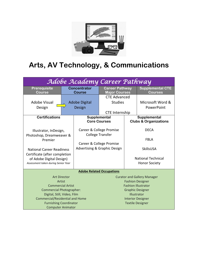

# **Arts, AV Technology, & Communications**

| Adobe Academy Career Pathway                       |                     |                                                     |                                               |                           |                                                  |  |  |
|----------------------------------------------------|---------------------|-----------------------------------------------------|-----------------------------------------------|---------------------------|--------------------------------------------------|--|--|
| <b>Prerequisite</b><br><b>Course</b>               |                     | <b>Concentrator</b><br><b>Course</b>                | <b>Career Pathway</b><br><b>Major Courses</b> |                           | <b>Supplemental CTE</b><br><b>Courses</b>        |  |  |
|                                                    |                     |                                                     | <b>CTE Advanced</b>                           |                           |                                                  |  |  |
| <b>Adobe Visual</b>                                |                     | <b>Adobe Digital</b>                                | <b>Studies</b>                                |                           | Microsoft Word &                                 |  |  |
| Design                                             |                     | Design                                              |                                               |                           | PowerPoint                                       |  |  |
|                                                    |                     |                                                     | <b>CTE</b> Internship                         |                           |                                                  |  |  |
| <b>Certifications</b>                              |                     | Supplemental                                        | <b>Core Courses</b>                           |                           | Supplemental<br><b>Clubs &amp; Organizations</b> |  |  |
| Illustrator, InDesign,<br>Photoshop, Dreamweaver & |                     | Career & College Promise<br><b>College Transfer</b> |                                               |                           | <b>DECA</b>                                      |  |  |
| Premier                                            |                     |                                                     |                                               | <b>FBLA</b>               |                                                  |  |  |
|                                                    |                     | Career & College Promise                            |                                               |                           |                                                  |  |  |
| <b>National Career Readiness</b>                   |                     | <b>Advertising &amp; Graphic Design</b>             |                                               |                           | SkillsUSA                                        |  |  |
| Certificate (after completion                      |                     |                                                     |                                               |                           |                                                  |  |  |
| of Adobe Digital Design)                           |                     |                                                     |                                               | <b>National Technical</b> |                                                  |  |  |
| Assessment taken during Senior Year                |                     |                                                     |                                               |                           | <b>Honor Society</b>                             |  |  |
|                                                    |                     |                                                     | <b>Adobe Related Occupations</b>              |                           |                                                  |  |  |
|                                                    | <b>Art Director</b> |                                                     |                                               |                           | <b>Curator and Gallery Manager</b>               |  |  |
|                                                    | Artist              |                                                     |                                               |                           | <b>Fashion Designer</b>                          |  |  |
| <b>Commercial Artist</b>                           |                     |                                                     |                                               |                           | <b>Fashion Illustrator</b>                       |  |  |
| <b>Commercial Photographer:</b>                    |                     |                                                     |                                               |                           | <b>Graphic Designer</b>                          |  |  |
| Digital, Still, Video, Film                        |                     |                                                     |                                               |                           | Illustrator                                      |  |  |
| <b>Commercial/Residential and Home</b>             |                     |                                                     |                                               |                           | <b>Interior Designer</b>                         |  |  |
| <b>Furnishing Coordinator</b>                      |                     |                                                     |                                               |                           | <b>Textile Designer</b>                          |  |  |
| <b>Computer Animator</b>                           |                     |                                                     |                                               |                           |                                                  |  |  |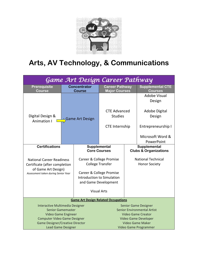

# **Arts, AV Technology, & Communications**

| Game Art Design Career Pathway                                                                                                  |                        |                                                                                                                                       |                                                                                                |  |                                                   |  |  |  |
|---------------------------------------------------------------------------------------------------------------------------------|------------------------|---------------------------------------------------------------------------------------------------------------------------------------|------------------------------------------------------------------------------------------------|--|---------------------------------------------------|--|--|--|
| <b>Prerequisite</b><br><b>Course</b>                                                                                            |                        | <b>Concentrator</b><br><b>Course</b>                                                                                                  | <b>Career Pathway</b><br><b>Major Courses</b>                                                  |  | <b>Supplemental CTE</b><br><b>Courses</b>         |  |  |  |
|                                                                                                                                 | <b>Game Art Design</b> |                                                                                                                                       |                                                                                                |  | <b>Adobe Visual</b><br>Design                     |  |  |  |
| Digital Design &<br><b>Animation I</b>                                                                                          |                        |                                                                                                                                       | <b>CTE Advanced</b><br><b>Studies</b>                                                          |  | Adobe Digital<br>Design                           |  |  |  |
|                                                                                                                                 |                        |                                                                                                                                       | <b>CTE Internship</b>                                                                          |  | Entrepreneurship I                                |  |  |  |
|                                                                                                                                 |                        |                                                                                                                                       |                                                                                                |  | Microsoft Word &<br>PowerPoint                    |  |  |  |
| <b>Certifications</b>                                                                                                           |                        | Supplemental<br><b>Core Courses</b>                                                                                                   |                                                                                                |  | Supplemental<br><b>Clubs &amp; Organizations</b>  |  |  |  |
| <b>National Career Readiness</b><br>Certificate (after completion<br>of Game Art Design)<br>Assessment taken during Senior Year |                        | Career & College Promise<br><b>College Transfer</b><br>Career & College Promise<br>Introduction to Simulation<br>and Game Development |                                                                                                |  | <b>National Technical</b><br><b>Honor Society</b> |  |  |  |
|                                                                                                                                 |                        |                                                                                                                                       | <b>Visual Arts</b>                                                                             |  |                                                   |  |  |  |
|                                                                                                                                 |                        | <b>Game Art Design Related Occupations</b>                                                                                            |                                                                                                |  |                                                   |  |  |  |
| Interactive Multimedia Designer<br><b>Senior Gamemaster</b><br>Video Game Engineer                                              |                        |                                                                                                                                       | <b>Senior Game Designer</b><br><b>Senior Environmental Artist</b><br><b>Video Game Creator</b> |  |                                                   |  |  |  |
| <b>Computer Video Game Designer</b><br><b>Game Designer/Creative Director</b>                                                   |                        |                                                                                                                                       |                                                                                                |  | Video Game Developer                              |  |  |  |
| <b>Lead Game Designer</b>                                                                                                       |                        |                                                                                                                                       | <b>Video Game Maker</b><br>Video Game Programmer                                               |  |                                                   |  |  |  |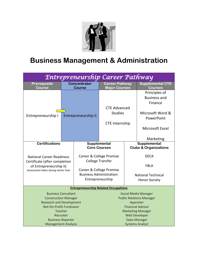

## **Business Management & Administration**

| Entrepreneurship Career Pathway                                |           |                                             |                                                                |                           |                                                 |  |  |  |
|----------------------------------------------------------------|-----------|---------------------------------------------|----------------------------------------------------------------|---------------------------|-------------------------------------------------|--|--|--|
| Prerequisite<br><b>Course</b>                                  |           | <b>Concentrator</b><br><b>Course</b>        | <b>Career Pathway</b><br><b>Major Courses</b>                  |                           | <b>Supplemental CTE</b><br><b>Courses</b>       |  |  |  |
|                                                                |           |                                             |                                                                |                           | Principles of<br><b>Business and</b><br>Finance |  |  |  |
|                                                                |           |                                             | <b>CTE Advanced</b>                                            |                           |                                                 |  |  |  |
| Entrepreneurship I                                             |           | Entrepreneurship II                         | <b>Studies</b>                                                 |                           | Microsoft Word &                                |  |  |  |
|                                                                |           |                                             |                                                                |                           | PowerPoint                                      |  |  |  |
|                                                                |           |                                             | <b>CTE Internship</b>                                          |                           |                                                 |  |  |  |
|                                                                |           |                                             |                                                                |                           | Microsoft Excel                                 |  |  |  |
|                                                                |           |                                             |                                                                |                           |                                                 |  |  |  |
| <b>Certifications</b>                                          |           |                                             |                                                                |                           | Marketing<br>Supplemental                       |  |  |  |
|                                                                |           |                                             | Supplemental<br><b>Core Courses</b>                            |                           | <b>Clubs &amp; Organizations</b>                |  |  |  |
|                                                                |           |                                             |                                                                |                           |                                                 |  |  |  |
| <b>National Career Readiness</b>                               |           | Career & College Promise                    |                                                                |                           | <b>DECA</b>                                     |  |  |  |
| Certificate (after completion                                  |           | <b>College Transfer</b>                     |                                                                |                           | <b>FBLA</b>                                     |  |  |  |
| of Entrepreneurship II)<br>Assessment taken during Senior Year |           |                                             | Career & College Promise                                       |                           |                                                 |  |  |  |
|                                                                |           | <b>Business Administration:</b>             |                                                                | <b>National Technical</b> |                                                 |  |  |  |
|                                                                |           | Entrepreneurship                            |                                                                |                           | <b>Honor Society</b>                            |  |  |  |
|                                                                |           |                                             |                                                                |                           |                                                 |  |  |  |
|                                                                |           | <b>Entrepreneurship Related Occupations</b> |                                                                |                           |                                                 |  |  |  |
| <b>Business Consultant</b>                                     |           |                                             | <b>Social Media Manager</b><br><b>Public Relations Manager</b> |                           |                                                 |  |  |  |
| <b>Construction Manager</b><br><b>Research and Development</b> |           |                                             |                                                                |                           | Appraiser                                       |  |  |  |
| Not-for-Profit Fundraiser                                      |           |                                             |                                                                |                           | <b>Financial Advisor</b>                        |  |  |  |
| <b>Teacher</b>                                                 |           |                                             |                                                                |                           | <b>Marketing Manager</b>                        |  |  |  |
|                                                                | Recruiter |                                             |                                                                |                           | <b>Web Developer</b>                            |  |  |  |
| <b>Business Reporter</b>                                       |           |                                             |                                                                |                           | <b>Sales Manager</b>                            |  |  |  |
| <b>Management Analysis</b>                                     |           |                                             | <b>Systems Analyst</b>                                         |                           |                                                 |  |  |  |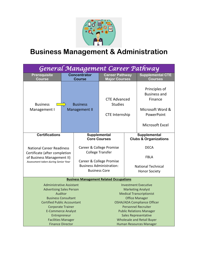

# **Business Management & Administration**

| General Management Career Pathway                                                                                                                                                                                                                       |                                         |                                                                                     |                                                                                                                                                                                                                                                                                                |                                                           |                                                                                                      |  |  |  |
|---------------------------------------------------------------------------------------------------------------------------------------------------------------------------------------------------------------------------------------------------------|-----------------------------------------|-------------------------------------------------------------------------------------|------------------------------------------------------------------------------------------------------------------------------------------------------------------------------------------------------------------------------------------------------------------------------------------------|-----------------------------------------------------------|------------------------------------------------------------------------------------------------------|--|--|--|
| Prerequisite<br><b>Course</b>                                                                                                                                                                                                                           |                                         | <b>Concentrator</b><br><b>Course</b>                                                | <b>Career Pathway</b><br><b>Major Courses</b>                                                                                                                                                                                                                                                  |                                                           | <b>Supplemental CTE</b><br><b>Courses</b>                                                            |  |  |  |
| <b>Business</b><br>Management I                                                                                                                                                                                                                         | <b>Business</b><br><b>Management II</b> |                                                                                     | <b>CTE Advanced</b><br><b>Studies</b><br><b>CTE Internship</b>                                                                                                                                                                                                                                 |                                                           | Principles of<br><b>Business and</b><br>Finance<br>Microsoft Word &<br>PowerPoint<br>Microsoft Excel |  |  |  |
| <b>Certifications</b>                                                                                                                                                                                                                                   | Supplemental                            | <b>Core Courses</b>                                                                 |                                                                                                                                                                                                                                                                                                | Supplemental<br><b>Clubs &amp; Organizations</b>          |                                                                                                      |  |  |  |
| <b>National Career Readiness</b><br>Certificate (after completion                                                                                                                                                                                       |                                         | Career & College Promise<br><b>College Transfer</b>                                 |                                                                                                                                                                                                                                                                                                |                                                           | <b>DECA</b>                                                                                          |  |  |  |
| of Business Management II)<br>Assessment taken during Senior Year                                                                                                                                                                                       |                                         | Career & College Promise<br><b>Business Administration:</b><br><b>Business Core</b> |                                                                                                                                                                                                                                                                                                | FBLA<br><b>National Technical</b><br><b>Honor Society</b> |                                                                                                      |  |  |  |
|                                                                                                                                                                                                                                                         |                                         |                                                                                     | <b>Business Management Related Occupations</b>                                                                                                                                                                                                                                                 |                                                           |                                                                                                      |  |  |  |
| <b>Administrative Assistant</b><br><b>Advertising Sales Person</b><br>Auditor<br><b>Business Consultant</b><br><b>Certified Public Accountant</b><br><b>Corporate Trainer</b><br><b>E-Commerce Analyst</b><br>Entrepreneur<br><b>Facilities Manager</b> |                                         |                                                                                     | <b>Investment Executive</b><br><b>Marketing Analyst</b><br><b>Medical Transcriptionist</b><br><b>Office Manager</b><br><b>OSHA/ADA Compliance Officer</b><br><b>Personnel Recruiter</b><br><b>Public Relations Manager</b><br><b>Sales Representative</b><br><b>Wholesale and Retail Buyer</b> |                                                           |                                                                                                      |  |  |  |
|                                                                                                                                                                                                                                                         | <b>Finance Director</b>                 |                                                                                     |                                                                                                                                                                                                                                                                                                |                                                           | <b>Human Resources Manager</b>                                                                       |  |  |  |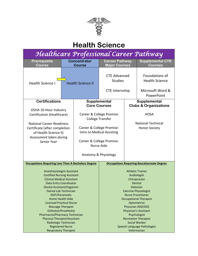

## **Health Science**

|                                                                                                                                                                                                                                                                                                                                                                                                                                                                                                                             | <b>Course</b> | <b>Career Pathway</b><br><b>Major Courses</b>                  |                                                                                                                                                                                                                                                                                                                  | <b>Supplemental CTE</b><br><b>Courses</b>                                             |  |
|-----------------------------------------------------------------------------------------------------------------------------------------------------------------------------------------------------------------------------------------------------------------------------------------------------------------------------------------------------------------------------------------------------------------------------------------------------------------------------------------------------------------------------|---------------|----------------------------------------------------------------|------------------------------------------------------------------------------------------------------------------------------------------------------------------------------------------------------------------------------------------------------------------------------------------------------------------|---------------------------------------------------------------------------------------|--|
| <b>Health Science II</b>                                                                                                                                                                                                                                                                                                                                                                                                                                                                                                    |               | <b>CTE Advanced</b><br><b>Studies</b><br><b>CTE Internship</b> |                                                                                                                                                                                                                                                                                                                  | Foundations of<br><b>Health Science</b><br>Microsoft Word &<br>PowerPoint             |  |
|                                                                                                                                                                                                                                                                                                                                                                                                                                                                                                                             |               |                                                                |                                                                                                                                                                                                                                                                                                                  | Supplemental                                                                          |  |
| OSHA 10-Hour Industry<br>Certification (Healthcare)<br><b>National Career Readiness</b><br>Certificate (after completion<br>of Health Science II)<br>Assessment taken during                                                                                                                                                                                                                                                                                                                                                |               |                                                                | <b>Clubs &amp; Organizations</b><br><b>HOSA</b><br><b>National Technical</b><br><b>Honor Society</b>                                                                                                                                                                                                             |                                                                                       |  |
|                                                                                                                                                                                                                                                                                                                                                                                                                                                                                                                             |               | <b>Occupations Requiring Baccalaureate Degree</b>              |                                                                                                                                                                                                                                                                                                                  |                                                                                       |  |
| <b>Occupations Requiring Less Than A Bachelors Degree</b><br>Anesthesiologist Assistant<br><b>Certified Nursing Assistant</b><br><b>Clinical Medical Assistant</b><br>Data Entry Coordinator<br>Dental Assistant/Hygienist<br>Dental Lab Technician<br><b>EMT/Paramedic</b><br><b>Home Health Aide</b><br><b>Licensed Practical Nurse</b><br><b>Massage Therapist</b><br>Orthotist/Prosthetist<br>Pharmacist/Pharmacy Technician<br><b>Physical Therapist/Assistant</b><br>Radiologic Technician<br><b>Registered Nurse</b> |               |                                                                | <b>Athletic Trainer</b><br>Audiologist<br>Chiropractor<br>Dentist<br>Dietician<br><b>Exercise Physiologist</b><br><b>Nurse Practitioner</b><br><b>Occupational Therapist</b><br>Optometrist<br>Physician (MD/DO)<br><b>Physician's Assistant</b><br>Psychologist<br><b>Recreation Therapist</b><br>Social Worker |                                                                                       |  |
| <b>Certifications</b>                                                                                                                                                                                                                                                                                                                                                                                                                                                                                                       |               | <b>Concentrator</b><br><b>Respiratory Therapist</b>            | Supplemental<br><b>Core Courses</b><br>Career & College Promise<br><b>College Transfer</b><br>Career & College Promise:<br>Intro to Medical Assisting<br>Career & College Promise:<br><b>Nurse Aide</b><br>Anatomy & Physiology                                                                                  | Healthcare Professional Career Pathway<br>Speech Language Pathologist<br>Veterinarian |  |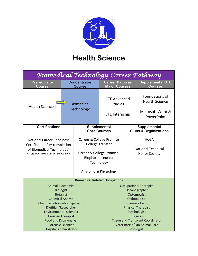

## **Health Science**

|                                                                                                                                                                                                                                                                                          |  |                                                                       |                                                                                                                                                                                                                      | <b>Supplemental CTE</b><br><b>Courses</b>                                                                                                                                                                                           |
|------------------------------------------------------------------------------------------------------------------------------------------------------------------------------------------------------------------------------------------------------------------------------------------|--|-----------------------------------------------------------------------|----------------------------------------------------------------------------------------------------------------------------------------------------------------------------------------------------------------------|-------------------------------------------------------------------------------------------------------------------------------------------------------------------------------------------------------------------------------------|
| <b>Biomedical</b><br>Technology                                                                                                                                                                                                                                                          |  | <b>CTE Advanced</b><br><b>Studies</b><br><b>CTE Internship</b>        |                                                                                                                                                                                                                      | Foundations of<br><b>Health Science</b><br>Microsoft Word &<br>PowerPoint                                                                                                                                                           |
|                                                                                                                                                                                                                                                                                          |  |                                                                       |                                                                                                                                                                                                                      | Supplemental<br><b>Clubs &amp; Organizations</b>                                                                                                                                                                                    |
| <b>National Career Readiness</b><br>Certificate (after completion<br>of Biomedical Technology)<br>Assessment taken during Senior Year                                                                                                                                                    |  |                                                                       | <b>HOSA</b><br><b>National Technical</b><br><b>Honor Society</b>                                                                                                                                                     |                                                                                                                                                                                                                                     |
|                                                                                                                                                                                                                                                                                          |  |                                                                       |                                                                                                                                                                                                                      |                                                                                                                                                                                                                                     |
| <b>Animal Biochemist</b><br><b>Biologist</b><br><b>Botanist</b><br><b>Chemical Analyst</b><br><b>Chemical Information Specialist</b><br>Dietitian/Researcher<br><b>Environmental Scientist</b><br><b>Exercise Therapist</b><br><b>Food and Drug Analyst</b><br><b>Forensic Scientist</b> |  |                                                                       |                                                                                                                                                                                                                      | <b>Occupational Therapist</b><br>Oceanographer<br>Optometrist<br>Orthopedists<br>Pharmacologist<br><b>Physical Therapist</b><br>Psychologist<br>Surgeon<br><b>Tissue and Transplant Coordinator</b><br>Veterinarian/Lab Animal Care |
|                                                                                                                                                                                                                                                                                          |  | <b>Concentrator</b><br><b>Course</b><br><b>Hospital Administrator</b> | Supplemental<br><b>Core Courses</b><br>Career & College Promise<br>College Transfer<br>Career & College Promise:<br>Biopharmaceutical<br>Technology<br>Anatomy & Physiology<br><b>Biomedical Related Occupations</b> | Biomedical Technology Career Pathway<br><b>Career Pathway</b><br><b>Major Courses</b><br>Zoologist                                                                                                                                  |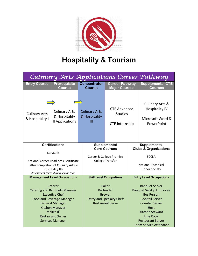

# **Hospitality & Tourism**

|                                                                                                                                                                                                                              |                                                          |                                            |                                                                                                                   |                                                  | Culinary Arts Applications Career Pathway                                                                                                                                                                                                   |  |
|------------------------------------------------------------------------------------------------------------------------------------------------------------------------------------------------------------------------------|----------------------------------------------------------|--------------------------------------------|-------------------------------------------------------------------------------------------------------------------|--------------------------------------------------|---------------------------------------------------------------------------------------------------------------------------------------------------------------------------------------------------------------------------------------------|--|
| <b>Entry Course</b>                                                                                                                                                                                                          | Prerequisite<br><b>Course</b>                            | <b>Concentrator</b><br><b>Course</b>       | <b>Career Pathway</b><br><b>Major Courses</b>                                                                     |                                                  | <b>Supplemental CTE</b><br><b>Courses</b>                                                                                                                                                                                                   |  |
| <b>Culinary Arts</b><br>& Hospitality I                                                                                                                                                                                      | <b>Culinary Arts</b><br>& Hospitality<br>II Applications | <b>Culinary Arts</b><br>& Hospitality<br>Ш | <b>CTE Advanced</b><br><b>Studies</b><br><b>CTE Internship</b>                                                    |                                                  | <b>Culinary Arts &amp;</b><br><b>Hospitality IV</b><br>Microsoft Word &<br>PowerPoint                                                                                                                                                       |  |
|                                                                                                                                                                                                                              | <b>Certifications</b>                                    |                                            | Supplemental<br><b>Core Courses</b>                                                                               | Supplemental<br><b>Clubs &amp; Organizations</b> |                                                                                                                                                                                                                                             |  |
| ServSafe<br>National Career Readiness Certificate<br>(after completion of Culinary Arts &<br>Hospitality III)<br>Assessment taken during Senior Year                                                                         |                                                          |                                            | Career & College Promise<br><b>College Transfer</b>                                                               |                                                  | <b>FCCLA</b><br><b>National Technical</b><br><b>Honor Society</b>                                                                                                                                                                           |  |
|                                                                                                                                                                                                                              | <b>Management Level Occupations</b>                      |                                            | <b>Skill Level Occupations</b>                                                                                    |                                                  | <b>Entry Level Occupations</b>                                                                                                                                                                                                              |  |
| Caterer<br><b>Catering and Banquets Manager</b><br><b>Executive Chef</b><br><b>Food and Beverage Manager</b><br><b>General Manager</b><br>Kitchen Manager<br>Maître d'<br><b>Restaurant Owner</b><br><b>Services Manager</b> |                                                          |                                            | <b>Baker</b><br><b>Bartender</b><br><b>Brewer</b><br><b>Pastry and Specialty Chefs</b><br><b>Restaurant Serve</b> |                                                  | <b>Banquet Server</b><br><b>Banquet Set-Up Employee</b><br><b>Bus Person</b><br><b>Cocktail Server</b><br><b>Counter Server</b><br>Host<br><b>Kitchen Steward</b><br>Line Cook<br><b>Restaurant Server</b><br><b>Room Service Attendant</b> |  |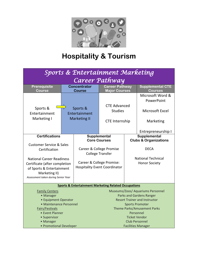

# **Hospitality & Tourism**

| Sports & Entertainment Marketing                                            |                                                  |                                                                   |                                                                      |  |                                                  |  |
|-----------------------------------------------------------------------------|--------------------------------------------------|-------------------------------------------------------------------|----------------------------------------------------------------------|--|--------------------------------------------------|--|
| Career Pathway                                                              |                                                  |                                                                   |                                                                      |  |                                                  |  |
| Prerequisite<br>Course                                                      |                                                  | <b>Concentrator</b><br><b>Course</b>                              | <b>Career Pathway</b><br><b>Major Courses</b>                        |  | <b>Supplemental CTE</b><br><b>Courses</b>        |  |
|                                                                             | Sports &<br>Entertainment<br><b>Marketing II</b> |                                                                   |                                                                      |  | Microsoft Word &<br>PowerPoint                   |  |
| Sports &<br>Entertainment                                                   |                                                  |                                                                   | <b>CTE Advanced</b><br><b>Studies</b>                                |  | Microsoft Excel                                  |  |
| Marketing I                                                                 |                                                  |                                                                   | <b>CTE Internship</b>                                                |  | Marketing                                        |  |
|                                                                             |                                                  |                                                                   |                                                                      |  | Entrepreneurship I                               |  |
| <b>Certifications</b>                                                       |                                                  |                                                                   | Supplemental<br><b>Core Courses</b>                                  |  | Supplemental<br><b>Clubs &amp; Organizations</b> |  |
| <b>Customer Service &amp; Sales</b>                                         |                                                  |                                                                   |                                                                      |  |                                                  |  |
| Certification                                                               |                                                  |                                                                   | Career & College Promise<br><b>College Transfer</b>                  |  | <b>DECA</b>                                      |  |
| <b>National Career Readiness</b>                                            |                                                  |                                                                   |                                                                      |  | <b>National Technical</b>                        |  |
| Certificate (after completion<br>of Sports & Entertainment<br>Marketing II) |                                                  | Career & College Promise:<br><b>Hospitality Event Coordinator</b> |                                                                      |  | <b>Honor Society</b>                             |  |
| Assessment taken during Senior Year                                         |                                                  |                                                                   |                                                                      |  |                                                  |  |
| <b>Sports &amp; Entertainment Marketing Related Occupations</b>             |                                                  |                                                                   |                                                                      |  |                                                  |  |
| <b>Family Centers</b><br>• Manager                                          |                                                  |                                                                   | Museums/Zoos/ Aquariums Personnel<br><b>Parks and Gardens Ranger</b> |  |                                                  |  |
| • Equipment Operator                                                        |                                                  |                                                                   | <b>Resort Trainer and Instructor</b>                                 |  |                                                  |  |
| • Maintenance Personnel                                                     |                                                  |                                                                   | <b>Sports Promoter</b>                                               |  |                                                  |  |
| Fairs/Festivals                                                             |                                                  |                                                                   | Theme Parks/Amusement Parks                                          |  |                                                  |  |
| • Event Planner                                                             |                                                  | Personnel                                                         |                                                                      |  |                                                  |  |
| • Supervisor                                                                |                                                  | <b>Ticket Vendor</b>                                              |                                                                      |  |                                                  |  |
| • Manager                                                                   |                                                  | <b>Club Personnel</b>                                             |                                                                      |  |                                                  |  |
| • Promotional Developer                                                     |                                                  | <b>Facilities Manager</b>                                         |                                                                      |  |                                                  |  |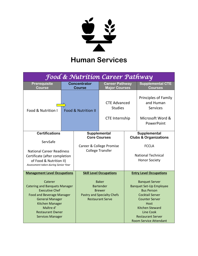

# **Human Services**

| Food & Nutrition Career Pathway                                                                                                                                                                                              |                                      |                                                                                                                   |                                                                |                                                                                                                                                                                                                                                    |                                                                                 |  |
|------------------------------------------------------------------------------------------------------------------------------------------------------------------------------------------------------------------------------|--------------------------------------|-------------------------------------------------------------------------------------------------------------------|----------------------------------------------------------------|----------------------------------------------------------------------------------------------------------------------------------------------------------------------------------------------------------------------------------------------------|---------------------------------------------------------------------------------|--|
| Prerequisite<br><b>Course</b>                                                                                                                                                                                                | <b>Concentrator</b><br><b>Course</b> |                                                                                                                   | <b>Career Pathway</b><br><b>Major Courses</b>                  |                                                                                                                                                                                                                                                    | <b>Supplemental CTE</b><br><b>Courses</b>                                       |  |
| Food & Nutrition I                                                                                                                                                                                                           |                                      | <b>Food &amp; Nutrition II</b>                                                                                    | <b>CTE Advanced</b><br><b>Studies</b><br><b>CTE Internship</b> |                                                                                                                                                                                                                                                    | <b>Principles of Family</b><br>and Human<br><b>Services</b><br>Microsoft Word & |  |
|                                                                                                                                                                                                                              |                                      |                                                                                                                   |                                                                |                                                                                                                                                                                                                                                    | PowerPoint                                                                      |  |
| <b>Certifications</b>                                                                                                                                                                                                        |                                      |                                                                                                                   | Supplemental<br><b>Core Courses</b>                            |                                                                                                                                                                                                                                                    | Supplemental                                                                    |  |
| ServSafe                                                                                                                                                                                                                     |                                      |                                                                                                                   |                                                                |                                                                                                                                                                                                                                                    | <b>Clubs &amp; Organizations</b>                                                |  |
|                                                                                                                                                                                                                              |                                      | Career & College Promise                                                                                          |                                                                | <b>FCCLA</b>                                                                                                                                                                                                                                       |                                                                                 |  |
| <b>National Career Readiness</b>                                                                                                                                                                                             |                                      |                                                                                                                   | <b>College Transfer</b>                                        |                                                                                                                                                                                                                                                    | <b>National Technical</b>                                                       |  |
| Certificate (after completion                                                                                                                                                                                                |                                      |                                                                                                                   |                                                                |                                                                                                                                                                                                                                                    | <b>Honor Society</b>                                                            |  |
| of Food & Nutrition II)<br>Assessment taken during Senior Year                                                                                                                                                               |                                      |                                                                                                                   |                                                                |                                                                                                                                                                                                                                                    |                                                                                 |  |
| <b>Management Level Occupations</b>                                                                                                                                                                                          |                                      |                                                                                                                   | <b>Skill Level Occupations</b>                                 | <b>Entry Level Occupations</b>                                                                                                                                                                                                                     |                                                                                 |  |
| Caterer<br><b>Catering and Banquets Manager</b><br><b>Executive Chef</b><br><b>Food and Beverage Manager</b><br><b>General Manager</b><br>Kitchen Manager<br>Maître d'<br><b>Restaurant Owner</b><br><b>Services Manager</b> |                                      | <b>Baker</b><br><b>Bartender</b><br><b>Brewer</b><br><b>Pastry and Specialty Chefs</b><br><b>Restaurant Serve</b> |                                                                | <b>Banquet Server</b><br><b>Banquet Set-Up Employee</b><br><b>Bus Person</b><br><b>Cocktail Server</b><br><b>Counter Server</b><br>Host<br><b>Kitchen Steward</b><br><b>Line Cook</b><br><b>Restaurant Server</b><br><b>Room Service Attendant</b> |                                                                                 |  |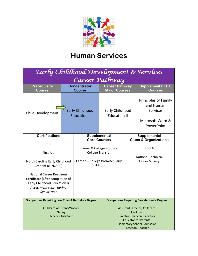

## **Human Services**

| Early Childhood Development & Services                                                                                                         |  |                                                                                       |                                                                                                                                                                                                     |                                                   |                                                                                               |  |
|------------------------------------------------------------------------------------------------------------------------------------------------|--|---------------------------------------------------------------------------------------|-----------------------------------------------------------------------------------------------------------------------------------------------------------------------------------------------------|---------------------------------------------------|-----------------------------------------------------------------------------------------------|--|
| Career Pathway                                                                                                                                 |  |                                                                                       |                                                                                                                                                                                                     |                                                   |                                                                                               |  |
| Prerequisite<br><b>Course</b>                                                                                                                  |  | <b>Concentrator</b><br><b>Career Pathway</b><br><b>Major Courses</b><br><b>Course</b> |                                                                                                                                                                                                     | <b>Supplemental CTE</b><br><b>Courses</b>         |                                                                                               |  |
| <b>Child Development</b>                                                                                                                       |  | <b>Early Childhood</b><br><b>Education I</b>                                          | Early Childhood<br><b>Education II</b>                                                                                                                                                              |                                                   | <b>Principles of Family</b><br>and Human<br><b>Services</b><br>Microsoft Word &<br>PowerPoint |  |
| <b>Certifications</b>                                                                                                                          |  |                                                                                       | Supplemental<br><b>Core Courses</b>                                                                                                                                                                 | Supplemental<br><b>Clubs &amp; Organizations</b>  |                                                                                               |  |
| <b>CPR</b>                                                                                                                                     |  |                                                                                       |                                                                                                                                                                                                     |                                                   | <b>FCCLA</b>                                                                                  |  |
| <b>First Aid</b>                                                                                                                               |  | Career & College Promise<br><b>College Transfer</b>                                   |                                                                                                                                                                                                     |                                                   |                                                                                               |  |
| North Carolina Early Childhood<br>Credential (NCECC)                                                                                           |  | Career & College Promise: Early<br>Childhood                                          |                                                                                                                                                                                                     | <b>National Technical</b><br><b>Honor Society</b> |                                                                                               |  |
| <b>National Career Readiness</b><br>Certificate (after completion of<br>Early Childhood Education I)<br>Assessment taken during<br>Senior Year |  |                                                                                       |                                                                                                                                                                                                     |                                                   |                                                                                               |  |
| <b>Occupations Requiring Less Than A Bachelors Degree</b>                                                                                      |  |                                                                                       | <b>Occupations Requiring Baccalaureate Degree</b>                                                                                                                                                   |                                                   |                                                                                               |  |
| <b>Childcare Assistant/Worker</b><br>Nanny<br><b>Teacher Assistant</b>                                                                         |  |                                                                                       | <b>Assistant Director, Childcare</b><br><b>Facilities</b><br><b>Director, Childcare Facilities</b><br><b>Educator for Parents</b><br><b>Elementary School Counselor</b><br><b>Preschool Teacher</b> |                                                   |                                                                                               |  |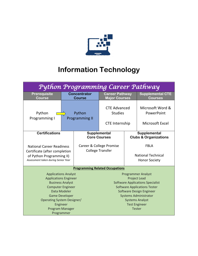

# **Information Technology**

| Python Programming Career Pathway                                                                                                                                                                                                      |                                      |  |                                                                |                                                                                                                                                                                                                                                                   |                                                                  |  |
|----------------------------------------------------------------------------------------------------------------------------------------------------------------------------------------------------------------------------------------|--------------------------------------|--|----------------------------------------------------------------|-------------------------------------------------------------------------------------------------------------------------------------------------------------------------------------------------------------------------------------------------------------------|------------------------------------------------------------------|--|
| <b>Prerequisite</b><br><b>Course</b>                                                                                                                                                                                                   | <b>Concentrator</b><br><b>Course</b> |  | <b>Career Pathway</b><br><b>Major Courses</b>                  |                                                                                                                                                                                                                                                                   | <b>Supplemental CTE</b><br><b>Courses</b>                        |  |
| Python<br>Programming I                                                                                                                                                                                                                | Python<br><b>Programming II</b>      |  | <b>CTE Advanced</b><br><b>Studies</b><br><b>CTE Internship</b> |                                                                                                                                                                                                                                                                   | Microsoft Word &<br>PowerPoint<br>Microsoft Excel                |  |
| <b>Certifications</b>                                                                                                                                                                                                                  |                                      |  | Supplemental<br><b>Core Courses</b>                            |                                                                                                                                                                                                                                                                   | Supplemental<br><b>Clubs &amp; Organizations</b>                 |  |
| <b>National Career Readiness</b><br>Certificate (after completion<br>of Python Programming II)<br>Assessment taken during Senior Year                                                                                                  |                                      |  | Career & College Promise<br><b>College Transfer</b>            |                                                                                                                                                                                                                                                                   | <b>FBLA</b><br><b>National Technical</b><br><b>Honor Society</b> |  |
| <b>Programming Related Occupations</b>                                                                                                                                                                                                 |                                      |  |                                                                |                                                                                                                                                                                                                                                                   |                                                                  |  |
| <b>Applications Analyst</b><br><b>Applications Engineer</b><br><b>Business Analyst</b><br><b>Computer Engineer</b><br>Data Modeler<br><b>Game Developer</b><br>Operating System Designer/<br>Engineer<br>Program Manager<br>Programmer |                                      |  |                                                                | <b>Programmer Analyst</b><br><b>Project Lead</b><br><b>Software Applications Specialist</b><br><b>Software Applications Tester</b><br>Software Design Engineer<br><b>Systems Administrator</b><br><b>Systems Analyst</b><br><b>Test Engineer</b><br><b>Tester</b> |                                                                  |  |